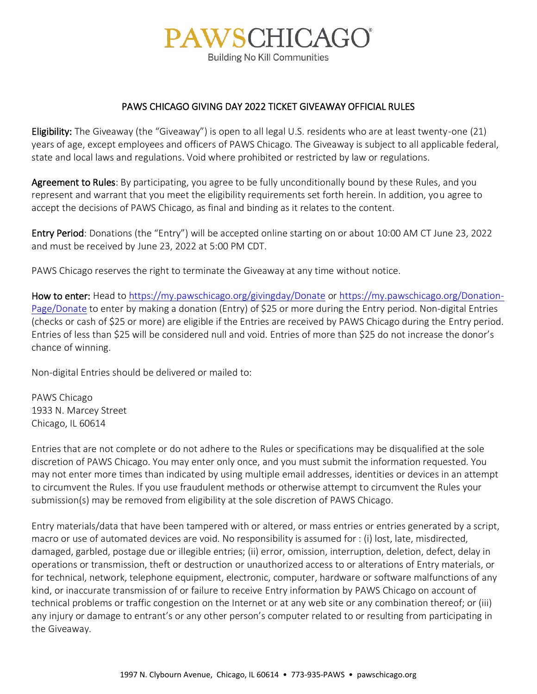## **PAWSCHICAGO®**

**Building No Kill Communities** 

## PAWS CHICAGO GIVING DAY 2022 TICKET GIVEAWAY OFFICIAL RULES

Eligibility: The Giveaway (the "Giveaway") is open to all legal U.S. residents who are at least twenty-one (21) years of age, except employees and officers of PAWS Chicago. The Giveaway is subject to all applicable federal, state and local laws and regulations. Void where prohibited or restricted by law or regulations.

Agreement to Rules: By participating, you agree to be fully unconditionally bound by these Rules, and you represent and warrant that you meet the eligibility requirements set forth herein. In addition, you agree to accept the decisions of PAWS Chicago, as final and binding as it relates to the content.

Entry Period: Donations (the "Entry") will be accepted online starting on or about 10:00 AM CT June 23, 2022 and must be received by June 23, 2022 at 5:00 PM CDT.

PAWS Chicago reserves the right to terminate the Giveaway at any time without notice.

How to enter: Head t[o https://my.pawschicago.org/givingday/Donate](https://my.pawschicago.org/givingday/Donate) or [https://my.pawschicago.org/Donation-](https://my.pawschicago.org/Donation-Page/Donate)[Page/Donate](https://my.pawschicago.org/Donation-Page/Donate) to enter by making a donation (Entry) of \$25 or more during the Entry period. Non-digital Entries (checks or cash of \$25 or more) are eligible if the Entries are received by PAWS Chicago during the Entry period. Entries of less than \$25 will be considered null and void. Entries of more than \$25 do not increase the donor's chance of winning.

Non-digital Entries should be delivered or mailed to:

PAWS Chicago 1933 N. Marcey Street Chicago, IL 60614

Entries that are not complete or do not adhere to the Rules or specifications may be disqualified at the sole discretion of PAWS Chicago. You may enter only once, and you must submit the information requested. You may not enter more times than indicated by using multiple email addresses, identities or devices in an attempt to circumvent the Rules. If you use fraudulent methods or otherwise attempt to circumvent the Rules your submission(s) may be removed from eligibility at the sole discretion of PAWS Chicago.

Entry materials/data that have been tampered with or altered, or mass entries or entries generated by a script, macro or use of automated devices are void. No responsibility is assumed for : (i) lost, late, misdirected, damaged, garbled, postage due or illegible entries; (ii) error, omission, interruption, deletion, defect, delay in operations or transmission, theft or destruction or unauthorized access to or alterations of Entry materials, or for technical, network, telephone equipment, electronic, computer, hardware or software malfunctions of any kind, or inaccurate transmission of or failure to receive Entry information by PAWS Chicago on account of technical problems or traffic congestion on the Internet or at any web site or any combination thereof; or (iii) any injury or damage to entrant's or any other person's computer related to or resulting from participating in the Giveaway.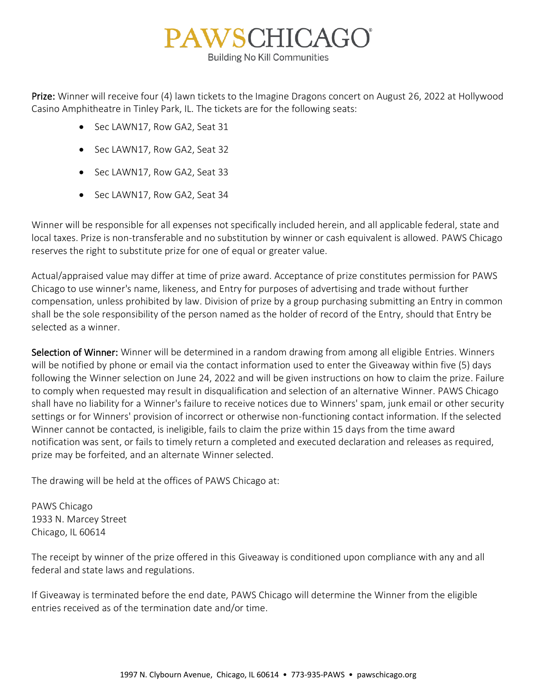

Prize: Winner will receive four (4) lawn tickets to the Imagine Dragons concert on August 26, 2022 at Hollywood Casino Amphitheatre in Tinley Park, IL. The tickets are for the following seats:

- Sec LAWN17, Row GA2, Seat 31
- Sec LAWN17, Row GA2, Seat 32
- Sec LAWN17, Row GA2, Seat 33
- Sec LAWN17, Row GA2, Seat 34

Winner will be responsible for all expenses not specifically included herein, and all applicable federal, state and local taxes. Prize is non-transferable and no substitution by winner or cash equivalent is allowed. PAWS Chicago reserves the right to substitute prize for one of equal or greater value.

Actual/appraised value may differ at time of prize award. Acceptance of prize constitutes permission for PAWS Chicago to use winner's name, likeness, and Entry for purposes of advertising and trade without further compensation, unless prohibited by law. Division of prize by a group purchasing submitting an Entry in common shall be the sole responsibility of the person named as the holder of record of the Entry, should that Entry be selected as a winner.

Selection of Winner: Winner will be determined in a random drawing from among all eligible Entries. Winners will be notified by phone or email via the contact information used to enter the Giveaway within five (5) days following the Winner selection on June 24, 2022 and will be given instructions on how to claim the prize. Failure to comply when requested may result in disqualification and selection of an alternative Winner. PAWS Chicago shall have no liability for a Winner's failure to receive notices due to Winners' spam, junk email or other security settings or for Winners' provision of incorrect or otherwise non-functioning contact information. If the selected Winner cannot be contacted, is ineligible, fails to claim the prize within 15 days from the time award notification was sent, or fails to timely return a completed and executed declaration and releases as required, prize may be forfeited, and an alternate Winner selected.

The drawing will be held at the offices of PAWS Chicago at:

PAWS Chicago 1933 N. Marcey Street Chicago, IL 60614

The receipt by winner of the prize offered in this Giveaway is conditioned upon compliance with any and all federal and state laws and regulations.

If Giveaway is terminated before the end date, PAWS Chicago will determine the Winner from the eligible entries received as of the termination date and/or time.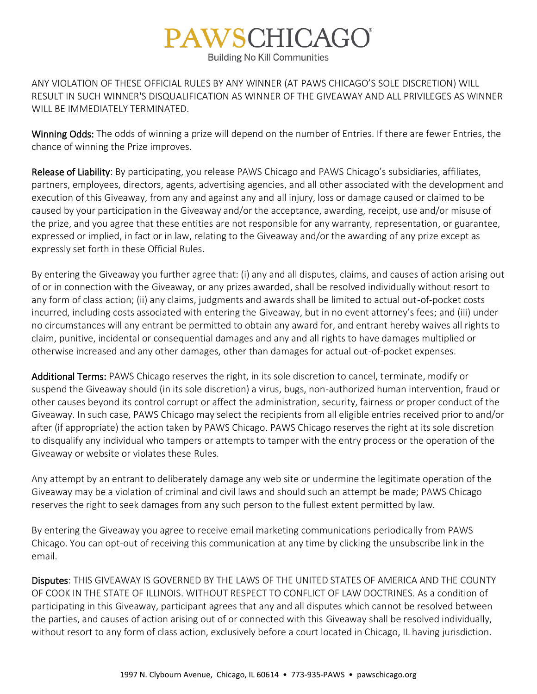## **PAWSCHICAGO®**

**Building No Kill Communities** 

ANY VIOLATION OF THESE OFFICIAL RULES BY ANY WINNER (AT PAWS CHICAGO'S SOLE DISCRETION) WILL RESULT IN SUCH WINNER'S DISQUALIFICATION AS WINNER OF THE GIVEAWAY AND ALL PRIVILEGES AS WINNER WILL BE IMMEDIATELY TERMINATED.

Winning Odds: The odds of winning a prize will depend on the number of Entries. If there are fewer Entries, the chance of winning the Prize improves.

Release of Liability: By participating, you release PAWS Chicago and PAWS Chicago's subsidiaries, affiliates, partners, employees, directors, agents, advertising agencies, and all other associated with the development and execution of this Giveaway, from any and against any and all injury, loss or damage caused or claimed to be caused by your participation in the Giveaway and/or the acceptance, awarding, receipt, use and/or misuse of the prize, and you agree that these entities are not responsible for any warranty, representation, or guarantee, expressed or implied, in fact or in law, relating to the Giveaway and/or the awarding of any prize except as expressly set forth in these Official Rules.

By entering the Giveaway you further agree that: (i) any and all disputes, claims, and causes of action arising out of or in connection with the Giveaway, or any prizes awarded, shall be resolved individually without resort to any form of class action; (ii) any claims, judgments and awards shall be limited to actual out-of-pocket costs incurred, including costs associated with entering the Giveaway, but in no event attorney's fees; and (iii) under no circumstances will any entrant be permitted to obtain any award for, and entrant hereby waives all rights to claim, punitive, incidental or consequential damages and any and all rights to have damages multiplied or otherwise increased and any other damages, other than damages for actual out-of-pocket expenses.

Additional Terms: PAWS Chicago reserves the right, in its sole discretion to cancel, terminate, modify or suspend the Giveaway should (in its sole discretion) a virus, bugs, non-authorized human intervention, fraud or other causes beyond its control corrupt or affect the administration, security, fairness or proper conduct of the Giveaway. In such case, PAWS Chicago may select the recipients from all eligible entries received prior to and/or after (if appropriate) the action taken by PAWS Chicago. PAWS Chicago reserves the right at its sole discretion to disqualify any individual who tampers or attempts to tamper with the entry process or the operation of the Giveaway or website or violates these Rules.

Any attempt by an entrant to deliberately damage any web site or undermine the legitimate operation of the Giveaway may be a violation of criminal and civil laws and should such an attempt be made; PAWS Chicago reserves the right to seek damages from any such person to the fullest extent permitted by law.

By entering the Giveaway you agree to receive email marketing communications periodically from PAWS Chicago. You can opt-out of receiving this communication at any time by clicking the unsubscribe link in the email.

Disputes: THIS GIVEAWAY IS GOVERNED BY THE LAWS OF THE UNITED STATES OF AMERICA AND THE COUNTY OF COOK IN THE STATE OF ILLINOIS. WITHOUT RESPECT TO CONFLICT OF LAW DOCTRINES. As a condition of participating in this Giveaway, participant agrees that any and all disputes which cannot be resolved between the parties, and causes of action arising out of or connected with this Giveaway shall be resolved individually, without resort to any form of class action, exclusively before a court located in Chicago, IL having jurisdiction.